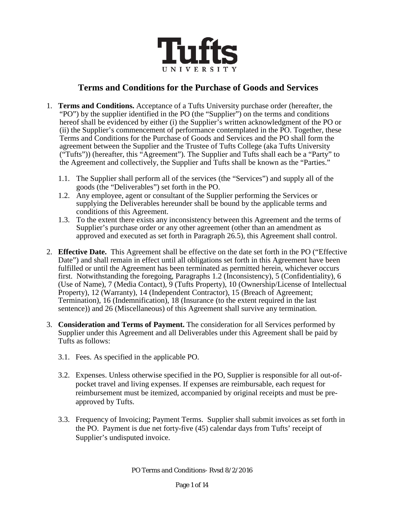

# **Terms and Conditions for the Purchase of Goods and Services**

- 1. **Terms and Conditions.** Acceptance of a Tufts University purchase order (hereafter, the "PO") by the supplier identified in the PO (the "Supplier") on the terms and conditions hereof shall be evidenced by either (i) the Supplier's written acknowledgment of the PO or (ii) the Supplier's commencement of performance contemplated in the PO. Together, these Terms and Conditions for the Purchase of Goods and Services and the PO shall form the agreement between the Supplier and the Trustee of Tufts College (aka Tufts University ("Tufts")) (hereafter, this "Agreement"). The Supplier and Tufts shall each be a "Party" to the Agreement and collectively, the Supplier and Tufts shall be known as the "Parties."
	- 1.1. The Supplier shall perform all of the services (the "Services") and supply all of the goods (the "Deliverables") set forth in the PO.
	- 1.2. Any employee, agent or consultant of the Supplier performing the Services or supplying the Deliverables hereunder shall be bound by the applicable terms and conditions of this Agreement.
	- 1.3. To the extent there exists any inconsistency between this Agreement and the terms of Supplier's purchase order or any other agreement (other than an amendment as approved and executed as set forth in Paragraph 26.5), this Agreement shall control.
- 2. **Effective Date.** This Agreement shall be effective on the date set forth in the PO ("Effective Date") and shall remain in effect until all obligations set forth in this Agreement have been fulfilled or until the Agreement has been terminated as permitted herein, whichever occurs first. Notwithstanding the foregoing, Paragraphs 1.2 (Inconsistency), 5 (Confidentiality), 6 (Use of Name), 7 (Media Contact), 9 (Tufts Property), 10 (Ownership/License of Intellectual Property), 12 (Warranty), 14 (Independent Contractor), 15 (Breach of Agreement; Termination), 16 (Indemnification), 18 (Insurance (to the extent required in the last sentence)) and 26 (Miscellaneous) of this Agreement shall survive any termination.
- 3. **Consideration and Terms of Payment.** The consideration for all Services performed by Supplier under this Agreement and all Deliverables under this Agreement shall be paid by Tufts as follows:
	- 3.1. Fees. As specified in the applicable PO.
	- 3.2. Expenses. Unless otherwise specified in the PO, Supplier is responsible for all out-ofpocket travel and living expenses. If expenses are reimbursable, each request for reimbursement must be itemized, accompanied by original receipts and must be preapproved by Tufts.
	- 3.3. Frequency of Invoicing; Payment Terms. Supplier shall submit invoices as set forth in the PO. Payment is due net forty-five (45) calendar days from Tufts' receipt of Supplier's undisputed invoice.

PO Terms and Conditions- Rvsd 8/2/2016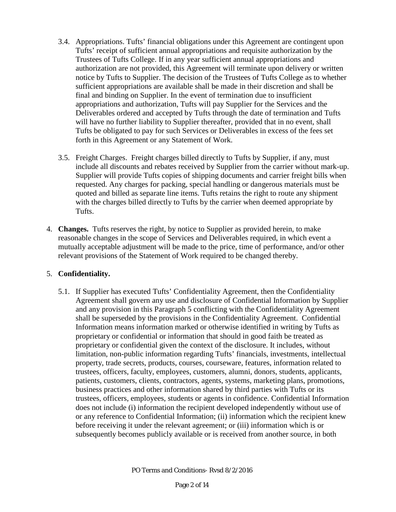- 3.4. Appropriations. Tufts' financial obligations under this Agreement are contingent upon Tufts' receipt of sufficient annual appropriations and requisite authorization by the Trustees of Tufts College. If in any year sufficient annual appropriations and authorization are not provided, this Agreement will terminate upon delivery or written notice by Tufts to Supplier. The decision of the Trustees of Tufts College as to whether sufficient appropriations are available shall be made in their discretion and shall be final and binding on Supplier. In the event of termination due to insufficient appropriations and authorization, Tufts will pay Supplier for the Services and the Deliverables ordered and accepted by Tufts through the date of termination and Tufts will have no further liability to Supplier thereafter, provided that in no event, shall Tufts be obligated to pay for such Services or Deliverables in excess of the fees set forth in this Agreement or any Statement of Work.
- 3.5. Freight Charges. Freight charges billed directly to Tufts by Supplier, if any, must include all discounts and rebates received by Supplier from the carrier without mark-up. Supplier will provide Tufts copies of shipping documents and carrier freight bills when requested. Any charges for packing, special handling or dangerous materials must be quoted and billed as separate line items. Tufts retains the right to route any shipment with the charges billed directly to Tufts by the carrier when deemed appropriate by Tufts.
- 4. **Changes.** Tufts reserves the right, by notice to Supplier as provided herein, to make reasonable changes in the scope of Services and Deliverables required, in which event a mutually acceptable adjustment will be made to the price, time of performance, and/or other relevant provisions of the Statement of Work required to be changed thereby.

## 5. **Confidentiality.**

5.1. If Supplier has executed Tufts' Confidentiality Agreement, then the Confidentiality Agreement shall govern any use and disclosure of Confidential Information by Supplier and any provision in this Paragraph 5 conflicting with the Confidentiality Agreement shall be superseded by the provisions in the Confidentiality Agreement. Confidential Information means information marked or otherwise identified in writing by Tufts as proprietary or confidential or information that should in good faith be treated as proprietary or confidential given the context of the disclosure. It includes, without limitation, non-public information regarding Tufts' financials, investments, intellectual property, trade secrets, products, courses, courseware, features, information related to trustees, officers, faculty, employees, customers, alumni, donors, students, applicants, patients, customers, clients, contractors, agents, systems, marketing plans, promotions, business practices and other information shared by third parties with Tufts or its trustees, officers, employees, students or agents in confidence. Confidential Information does not include (i) information the recipient developed independently without use of or any reference to Confidential Information; (ii) information which the recipient knew before receiving it under the relevant agreement; or (iii) information which is or subsequently becomes publicly available or is received from another source, in both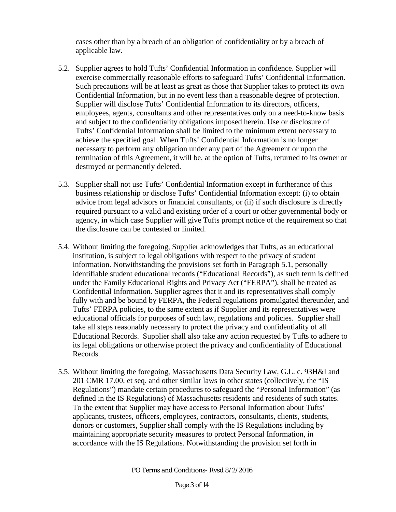cases other than by a breach of an obligation of confidentiality or by a breach of applicable law.

- 5.2. Supplier agrees to hold Tufts' Confidential Information in confidence. Supplier will exercise commercially reasonable efforts to safeguard Tufts' Confidential Information. Such precautions will be at least as great as those that Supplier takes to protect its own Confidential Information, but in no event less than a reasonable degree of protection. Supplier will disclose Tufts' Confidential Information to its directors, officers, employees, agents, consultants and other representatives only on a need-to-know basis and subject to the confidentiality obligations imposed herein. Use or disclosure of Tufts' Confidential Information shall be limited to the minimum extent necessary to achieve the specified goal. When Tufts' Confidential Information is no longer necessary to perform any obligation under any part of the Agreement or upon the termination of this Agreement, it will be, at the option of Tufts, returned to its owner or destroyed or permanently deleted.
- 5.3. Supplier shall not use Tufts' Confidential Information except in furtherance of this business relationship or disclose Tufts' Confidential Information except: (i) to obtain advice from legal advisors or financial consultants, or (ii) if such disclosure is directly required pursuant to a valid and existing order of a court or other governmental body or agency, in which case Supplier will give Tufts prompt notice of the requirement so that the disclosure can be contested or limited.
- 5.4. Without limiting the foregoing, Supplier acknowledges that Tufts, as an educational institution, is subject to legal obligations with respect to the privacy of student information. Notwithstanding the provisions set forth in Paragraph 5.1, personally identifiable student educational records ("Educational Records"), as such term is defined under the Family Educational Rights and Privacy Act ("FERPA"), shall be treated as Confidential Information. Supplier agrees that it and its representatives shall comply fully with and be bound by FERPA, the Federal regulations promulgated thereunder, and Tufts' FERPA policies, to the same extent as if Supplier and its representatives were educational officials for purposes of such law, regulations and policies. Supplier shall take all steps reasonably necessary to protect the privacy and confidentiality of all Educational Records. Supplier shall also take any action requested by Tufts to adhere to its legal obligations or otherwise protect the privacy and confidentiality of Educational Records.
- 5.5. Without limiting the foregoing, Massachusetts Data Security Law, G.L. c. 93H&I and 201 CMR 17.00, et seq. and other similar laws in other states (collectively, the "IS Regulations") mandate certain procedures to safeguard the "Personal Information" (as defined in the IS Regulations) of Massachusetts residents and residents of such states. To the extent that Supplier may have access to Personal Information about Tufts' applicants, trustees, officers, employees, contractors, consultants, clients, students, donors or customers, Supplier shall comply with the IS Regulations including by maintaining appropriate security measures to protect Personal Information, in accordance with the IS Regulations. Notwithstanding the provision set forth in

PO Terms and Conditions- Rvsd 8/2/2016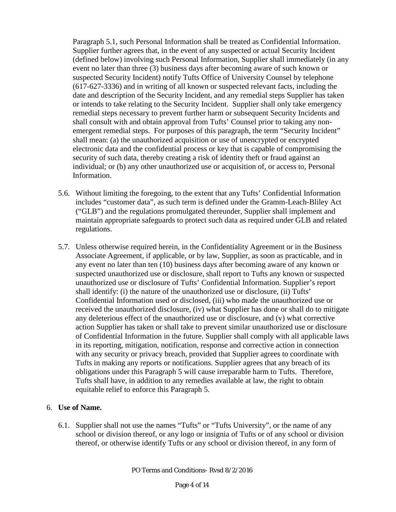Paragraph 5.1, such Personal Information shall be treated as Confidential Information. Supplier further agrees that, in the event of any suspected or actual Security Incident (defined below) involving such Personal Information, Supplier shall immediately (in any event no later than three (3) business days after becoming aware of such known or suspected Security Incident) notify Tufts Office of University Counsel by telephone (617-627-3336) and in writing of all known or suspected relevant facts, including the date and description of the Security Incident, and any remedial steps Supplier has taken or intends to take relating to the Security Incident. Supplier shall only take emergency remedial steps necessary to prevent further harm or subsequent Security Incidents and shall consult with and obtain approval from Tufts' Counsel prior to taking any nonemergent remedial steps. For purposes of this paragraph, the term "Security Incident" shall mean: (a) the unauthorized acquisition or use of unencrypted or encrypted electronic data and the confidential process or key that is capable of compromising the security of such data, thereby creating a risk of identity theft or fraud against an individual; or (b) any other unauthorized use or acquisition of, or access to, Personal Information.

- 5.6. Without limiting the foregoing, to the extent that any Tufts' Confidential Information includes "customer data", as such term is defined under the Gramm-Leach-Bliley Act ("GLB") and the regulations promulgated thereunder, Supplier shall implement and maintain appropriate safeguards to protect such data as required under GLB and related regulations.
- 5.7. Unless otherwise required herein, in the Confidentiality Agreement or in the Business Associate Agreement, if applicable, or by law, Supplier, as soon as practicable, and in any event no later than ten (10) business days after becoming aware of any known or suspected unauthorized use or disclosure, shall report to Tufts any known or suspected unauthorized use or disclosure of Tufts' Confidential Information. Supplier's report shall identify: (i) the nature of the unauthorized use or disclosure, (ii) Tufts' Confidential Information used or disclosed, (iii) who made the unauthorized use or received the unauthorized disclosure, (iv) what Supplier has done or shall do to mitigate any deleterious effect of the unauthorized use or disclosure, and (v) what corrective action Supplier has taken or shall take to prevent similar unauthorized use or disclosure of Confidential Information in the future. Supplier shall comply with all applicable laws in its reporting, mitigation, notification, response and corrective action in connection with any security or privacy breach, provided that Supplier agrees to coordinate with Tufts in making any reports or notifications. Supplier agrees that any breach of its obligations under this Paragraph 5 will cause irreparable harm to Tufts. Therefore, Tufts shall have, in addition to any remedies available at law, the right to obtain equitable relief to enforce this Paragraph 5.

## 6. **Use of Name.**

6.1. Supplier shall not use the names "Tufts" or "Tufts University", or the name of any school or division thereof, or any logo or insignia of Tufts or of any school or division thereof, or otherwise identify Tufts or any school or division thereof, in any form of

PO Terms and Conditions- Rvsd 8/2/2016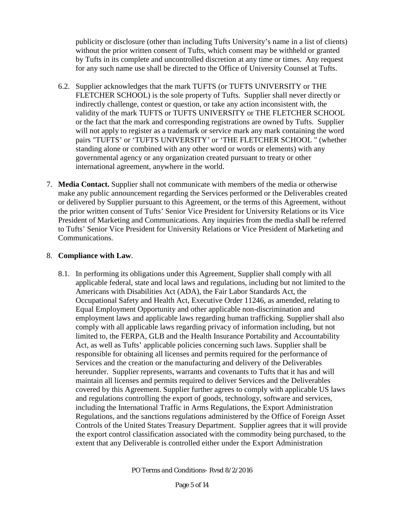publicity or disclosure (other than including Tufts University's name in a list of clients) without the prior written consent of Tufts, which consent may be withheld or granted by Tufts in its complete and uncontrolled discretion at any time or times. Any request for any such name use shall be directed to the Office of University Counsel at Tufts.

- 6.2. Supplier acknowledges that the mark TUFTS (or TUFTS UNIVERSITY or THE FLETCHER SCHOOL) is the sole property of Tufts. Supplier shall never directly or indirectly challenge, contest or question, or take any action inconsistent with, the validity of the mark TUFTS or TUFTS UNIVERSITY or THE FLETCHER SCHOOL or the fact that the mark and corresponding registrations are owned by Tufts. Supplier will not apply to register as a trademark or service mark any mark containing the word pairs "TUFTS' or 'TUFTS UNIVERSITY' or 'THE FLETCHER SCHOOL " (whether standing alone or combined with any other word or words or elements) with any governmental agency or any organization created pursuant to treaty or other international agreement, anywhere in the world.
- 7. **Media Contact.** Supplier shall not communicate with members of the media or otherwise make any public announcement regarding the Services performed or the Deliverables created or delivered by Supplier pursuant to this Agreement, or the terms of this Agreement, without the prior written consent of Tufts' Senior Vice President for University Relations or its Vice President of Marketing and Communications. Any inquiries from the media shall be referred to Tufts' Senior Vice President for University Relations or Vice President of Marketing and Communications.

## 8. **Compliance with Law**.

8.1. In performing its obligations under this Agreement, Supplier shall comply with all applicable federal, state and local laws and regulations, including but not limited to the Americans with Disabilities Act (ADA), the Fair Labor Standards Act, the Occupational Safety and Health Act, Executive Order 11246, as amended, relating to Equal Employment Opportunity and other applicable non-discrimination and employment laws and applicable laws regarding human trafficking. Supplier shall also comply with all applicable laws regarding privacy of information including, but not limited to, the FERPA, GLB and the Health Insurance Portability and Accountability Act, as well as Tufts' applicable policies concerning such laws. Supplier shall be responsible for obtaining all licenses and permits required for the performance of Services and the creation or the manufacturing and delivery of the Deliverables hereunder. Supplier represents, warrants and covenants to Tufts that it has and will maintain all licenses and permits required to deliver Services and the Deliverables covered by this Agreement. Supplier further agrees to comply with applicable US laws and regulations controlling the export of goods, technology, software and services, including the International Traffic in Arms Regulations, the Export Administration Regulations, and the sanctions regulations administered by the Office of Foreign Asset Controls of the United States Treasury Department. Supplier agrees that it will provide the export control classification associated with the commodity being purchased, to the extent that any Deliverable is controlled either under the Export Administration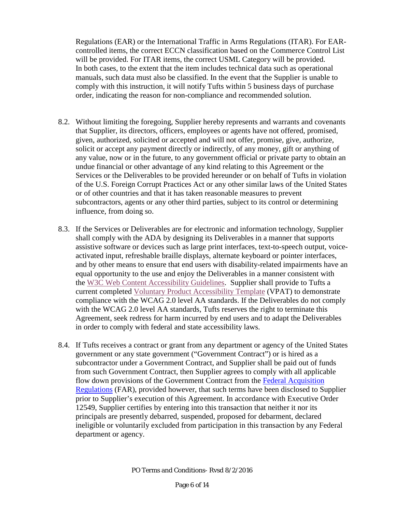Regulations (EAR) or the International Traffic in Arms Regulations (ITAR). For EARcontrolled items, the correct ECCN classification based on the Commerce Control List will be provided. For ITAR items, the correct USML Category will be provided. In both cases, to the extent that the item includes technical data such as operational manuals, such data must also be classified. In the event that the Supplier is unable to comply with this instruction, it will notify Tufts within 5 business days of purchase order, indicating the reason for non-compliance and recommended solution.

- 8.2. Without limiting the foregoing, Supplier hereby represents and warrants and covenants that Supplier, its directors, officers, employees or agents have not offered, promised, given, authorized, solicited or accepted and will not offer, promise, give, authorize, solicit or accept any payment directly or indirectly, of any money, gift or anything of any value, now or in the future, to any government official or private party to obtain an undue financial or other advantage of any kind relating to this Agreement or the Services or the Deliverables to be provided hereunder or on behalf of Tufts in violation of the U.S. Foreign Corrupt Practices Act or any other similar laws of the United States or of other countries and that it has taken reasonable measures to prevent subcontractors, agents or any other third parties, subject to its control or determining influence, from doing so.
- 8.3. If the Services or Deliverables are for electronic and information technology, Supplier shall comply with the ADA by designing its Deliverables in a manner that supports assistive software or devices such as large print interfaces, text-to-speech output, voiceactivated input, refreshable braille displays, alternate keyboard or pointer interfaces, and by other means to ensure that end users with disability-related impairments have an equal opportunity to the use and enjoy the Deliverables in a manner consistent with the [W3C Web Content Accessibility Guidelines.](http://www.w3.org/WAI/guid-tech.html) Supplier shall provide to Tufts a current completed [Voluntary Product Accessibility Template](http://go.usa.gov/UjFA) (VPAT) to demonstrate compliance with the WCAG 2.0 level AA standards. If the Deliverables do not comply with the WCAG 2.0 level AA standards, Tufts reserves the right to terminate this Agreement, seek redress for harm incurred by end users and to adapt the Deliverables in order to comply with federal and state accessibility laws.
- 8.4. If Tufts receives a contract or grant from any department or agency of the United States government or any state government ("Government Contract") or is hired as a subcontractor under a Government Contract, and Supplier shall be paid out of funds from such Government Contract, then Supplier agrees to comply with all applicable flow down provisions of the Government Contract from the [Federal Acquisition](https://www.acquisition.gov/?q=browsefar)  [Regulations](https://www.acquisition.gov/?q=browsefar) (FAR), provided however, that such terms have been disclosed to Supplier prior to Supplier's execution of this Agreement. In accordance with Executive Order 12549, Supplier certifies by entering into this transaction that neither it nor its principals are presently debarred, suspended, proposed for debarment, declared ineligible or voluntarily excluded from participation in this transaction by any Federal department or agency.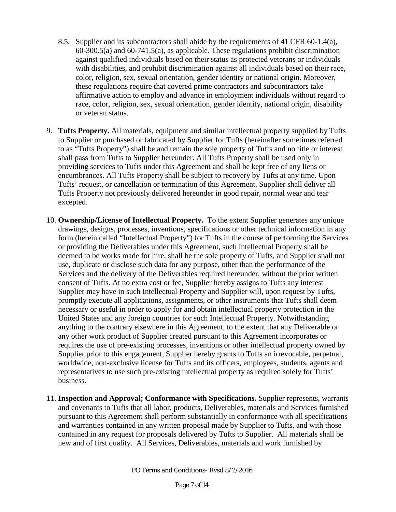- 8.5. Supplier and its subcontractors shall abide by the requirements of 41 CFR 60-1.4(a), 60-300.5(a) and 60-741.5(a), as applicable. These regulations prohibit discrimination against qualified individuals based on their status as protected veterans or individuals with disabilities, and prohibit discrimination against all individuals based on their race, color, religion, sex, sexual orientation, gender identity or national origin. Moreover, these regulations require that covered prime contractors and subcontractors take affirmative action to employ and advance in employment individuals without regard to race, color, religion, sex, sexual orientation, gender identity, national origin, disability or veteran status.
- 9. **Tufts Property.** All materials, equipment and similar intellectual property supplied by Tufts to Supplier or purchased or fabricated by Supplier for Tufts (hereinafter sometimes referred to as "Tufts Property") shall be and remain the sole property of Tufts and no title or interest shall pass from Tufts to Supplier hereunder. All Tufts Property shall be used only in providing services to Tufts under this Agreement and shall be kept free of any liens or encumbrances. All Tufts Property shall be subject to recovery by Tufts at any time. Upon Tufts' request, or cancellation or termination of this Agreement, Supplier shall deliver all Tufts Property not previously delivered hereunder in good repair, normal wear and tear excepted.
- 10. **Ownership/License of Intellectual Property.** To the extent Supplier generates any unique drawings, designs, processes, inventions, specifications or other technical information in any form (herein called "Intellectual Property") for Tufts in the course of performing the Services or providing the Deliverables under this Agreement, such Intellectual Property shall be deemed to be works made for hire, shall be the sole property of Tufts, and Supplier shall not use, duplicate or disclose such data for any purpose, other than the performance of the Services and the delivery of the Deliverables required hereunder, without the prior written consent of Tufts. At no extra cost or fee, Supplier hereby assigns to Tufts any interest Supplier may have in such Intellectual Property and Supplier will, upon request by Tufts, promptly execute all applications, assignments, or other instruments that Tufts shall deem necessary or useful in order to apply for and obtain intellectual property protection in the United States and any foreign countries for such Intellectual Property. Notwithstanding anything to the contrary elsewhere in this Agreement, to the extent that any Deliverable or any other work product of Supplier created pursuant to this Agreement incorporates or requires the use of pre-existing processes, inventions or other intellectual property owned by Supplier prior to this engagement, Supplier hereby grants to Tufts an irrevocable, perpetual, worldwide, non-exclusive license for Tufts and its officers, employees, students, agents and representatives to use such pre-existing intellectual property as required solely for Tufts' business.
- 11. **Inspection and Approval; Conformance with Specifications.** Supplier represents, warrants and covenants to Tufts that all labor, products, Deliverables, materials and Services furnished pursuant to this Agreement shall perform substantially in conformance with all specifications and warranties contained in any written proposal made by Supplier to Tufts, and with those contained in any request for proposals delivered by Tufts to Supplier. All materials shall be new and of first quality. All Services, Deliverables, materials and work furnished by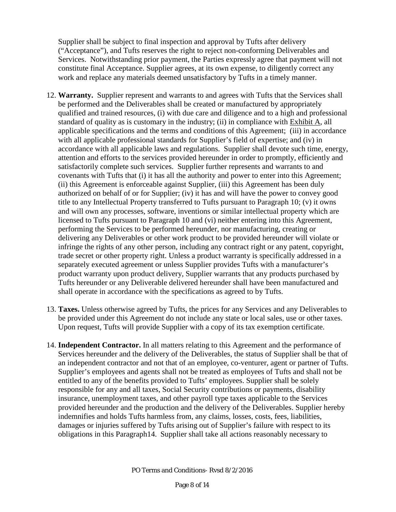Supplier shall be subject to final inspection and approval by Tufts after delivery ("Acceptance"), and Tufts reserves the right to reject non-conforming Deliverables and Services. Notwithstanding prior payment, the Parties expressly agree that payment will not constitute final Acceptance. Supplier agrees, at its own expense, to diligently correct any work and replace any materials deemed unsatisfactory by Tufts in a timely manner.

- 12. **Warranty.** Supplier represent and warrants to and agrees with Tufts that the Services shall be performed and the Deliverables shall be created or manufactured by appropriately qualified and trained resources, (i) with due care and diligence and to a high and professional standard of quality as is customary in the industry; (ii) in compliance with Exhibit A, all applicable specifications and the terms and conditions of this Agreement; (iii) in accordance with all applicable professional standards for Supplier's field of expertise; and (iv) in accordance with all applicable laws and regulations. Supplier shall devote such time, energy, attention and efforts to the services provided hereunder in order to promptly, efficiently and satisfactorily complete such services. Supplier further represents and warrants to and covenants with Tufts that (i) it has all the authority and power to enter into this Agreement; (ii) this Agreement is enforceable against Supplier, (iii) this Agreement has been duly authorized on behalf of or for Supplier; (iv) it has and will have the power to convey good title to any Intellectual Property transferred to Tufts pursuant to Paragraph 10; (v) it owns and will own any processes, software, inventions or similar intellectual property which are licensed to Tufts pursuant to Paragraph 10 and (vi) neither entering into this Agreement, performing the Services to be performed hereunder, nor manufacturing, creating or delivering any Deliverables or other work product to be provided hereunder will violate or infringe the rights of any other person, including any contract right or any patent, copyright, trade secret or other property right. Unless a product warranty is specifically addressed in a separately executed agreement or unless Supplier provides Tufts with a manufacturer's product warranty upon product delivery, Supplier warrants that any products purchased by Tufts hereunder or any Deliverable delivered hereunder shall have been manufactured and shall operate in accordance with the specifications as agreed to by Tufts.
- 13. **Taxes.** Unless otherwise agreed by Tufts, the prices for any Services and any Deliverables to be provided under this Agreement do not include any state or local sales, use or other taxes. Upon request, Tufts will provide Supplier with a copy of its tax exemption certificate.
- 14. **Independent Contractor.** In all matters relating to this Agreement and the performance of Services hereunder and the delivery of the Deliverables, the status of Supplier shall be that of an independent contractor and not that of an employee, co-venturer, agent or partner of Tufts. Supplier's employees and agents shall not be treated as employees of Tufts and shall not be entitled to any of the benefits provided to Tufts' employees. Supplier shall be solely responsible for any and all taxes, Social Security contributions or payments, disability insurance, unemployment taxes, and other payroll type taxes applicable to the Services provided hereunder and the production and the delivery of the Deliverables. Supplier hereby indemnifies and holds Tufts harmless from, any claims, losses, costs, fees, liabilities, damages or injuries suffered by Tufts arising out of Supplier's failure with respect to its obligations in this Paragraph14. Supplier shall take all actions reasonably necessary to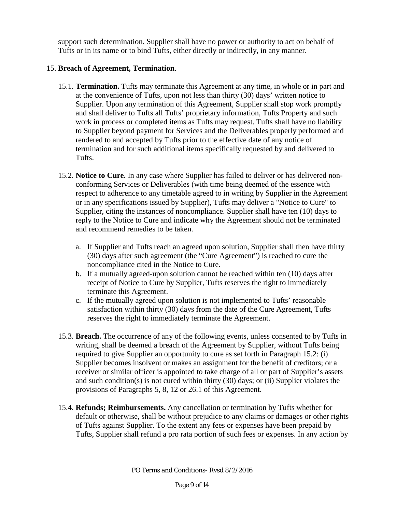support such determination. Supplier shall have no power or authority to act on behalf of Tufts or in its name or to bind Tufts, either directly or indirectly, in any manner.

## 15. **Breach of Agreement, Termination**.

- 15.1. **Termination.** Tufts may terminate this Agreement at any time, in whole or in part and at the convenience of Tufts, upon not less than thirty (30) days' written notice to Supplier. Upon any termination of this Agreement, Supplier shall stop work promptly and shall deliver to Tufts all Tufts' proprietary information, Tufts Property and such work in process or completed items as Tufts may request. Tufts shall have no liability to Supplier beyond payment for Services and the Deliverables properly performed and rendered to and accepted by Tufts prior to the effective date of any notice of termination and for such additional items specifically requested by and delivered to Tufts.
- 15.2. **Notice to Cure.** In any case where Supplier has failed to deliver or has delivered nonconforming Services or Deliverables (with time being deemed of the essence with respect to adherence to any timetable agreed to in writing by Supplier in the Agreement or in any specifications issued by Supplier), Tufts may deliver a "Notice to Cure" to Supplier, citing the instances of noncompliance. Supplier shall have ten (10) days to reply to the Notice to Cure and indicate why the Agreement should not be terminated and recommend remedies to be taken.
	- a. If Supplier and Tufts reach an agreed upon solution, Supplier shall then have thirty (30) days after such agreement (the "Cure Agreement") is reached to cure the noncompliance cited in the Notice to Cure.
	- b. If a mutually agreed-upon solution cannot be reached within ten (10) days after receipt of Notice to Cure by Supplier, Tufts reserves the right to immediately terminate this Agreement.
	- c. If the mutually agreed upon solution is not implemented to Tufts' reasonable satisfaction within thirty (30) days from the date of the Cure Agreement, Tufts reserves the right to immediately terminate the Agreement.
- 15.3. **Breach.** The occurrence of any of the following events, unless consented to by Tufts in writing, shall be deemed a breach of the Agreement by Supplier, without Tufts being required to give Supplier an opportunity to cure as set forth in Paragraph 15.2: (i) Supplier becomes insolvent or makes an assignment for the benefit of creditors; or a receiver or similar officer is appointed to take charge of all or part of Supplier's assets and such condition(s) is not cured within thirty (30) days; or (ii) Supplier violates the provisions of Paragraphs 5, 8, 12 or 26.1 of this Agreement.
- 15.4. **Refunds; Reimbursements.** Any cancellation or termination by Tufts whether for default or otherwise, shall be without prejudice to any claims or damages or other rights of Tufts against Supplier. To the extent any fees or expenses have been prepaid by Tufts, Supplier shall refund a pro rata portion of such fees or expenses. In any action by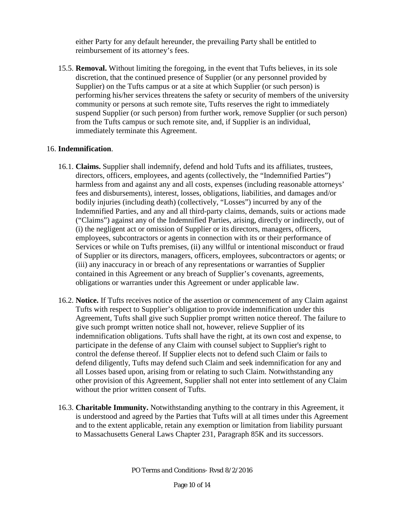either Party for any default hereunder, the prevailing Party shall be entitled to reimbursement of its attorney's fees.

15.5. **Removal.** Without limiting the foregoing, in the event that Tufts believes, in its sole discretion, that the continued presence of Supplier (or any personnel provided by Supplier) on the Tufts campus or at a site at which Supplier (or such person) is performing his/her services threatens the safety or security of members of the university community or persons at such remote site, Tufts reserves the right to immediately suspend Supplier (or such person) from further work, remove Supplier (or such person) from the Tufts campus or such remote site, and, if Supplier is an individual, immediately terminate this Agreement.

## 16. **Indemnification**.

- 16.1. **Claims.** Supplier shall indemnify, defend and hold Tufts and its affiliates, trustees, directors, officers, employees, and agents (collectively, the "Indemnified Parties") harmless from and against any and all costs, expenses (including reasonable attorneys' fees and disbursements), interest, losses, obligations, liabilities, and damages and/or bodily injuries (including death) (collectively, "Losses") incurred by any of the Indemnified Parties, and any and all third-party claims, demands, suits or actions made ("Claims") against any of the Indemnified Parties, arising, directly or indirectly, out of (i) the negligent act or omission of Supplier or its directors, managers, officers, employees, subcontractors or agents in connection with its or their performance of Services or while on Tufts premises, (ii) any willful or intentional misconduct or fraud of Supplier or its directors, managers, officers, employees, subcontractors or agents; or (iii) any inaccuracy in or breach of any representations or warranties of Supplier contained in this Agreement or any breach of Supplier's covenants, agreements, obligations or warranties under this Agreement or under applicable law.
- 16.2. **Notice.** If Tufts receives notice of the assertion or commencement of any Claim against Tufts with respect to Supplier's obligation to provide indemnification under this Agreement, Tufts shall give such Supplier prompt written notice thereof. The failure to give such prompt written notice shall not, however, relieve Supplier of its indemnification obligations. Tufts shall have the right, at its own cost and expense, to participate in the defense of any Claim with counsel subject to Supplier's right to control the defense thereof. If Supplier elects not to defend such Claim or fails to defend diligently, Tufts may defend such Claim and seek indemnification for any and all Losses based upon, arising from or relating to such Claim. Notwithstanding any other provision of this Agreement, Supplier shall not enter into settlement of any Claim without the prior written consent of Tufts.
- 16.3. **Charitable Immunity.** Notwithstanding anything to the contrary in this Agreement, it is understood and agreed by the Parties that Tufts will at all times under this Agreement and to the extent applicable, retain any exemption or limitation from liability pursuant to Massachusetts General Laws Chapter 231, Paragraph 85K and its successors.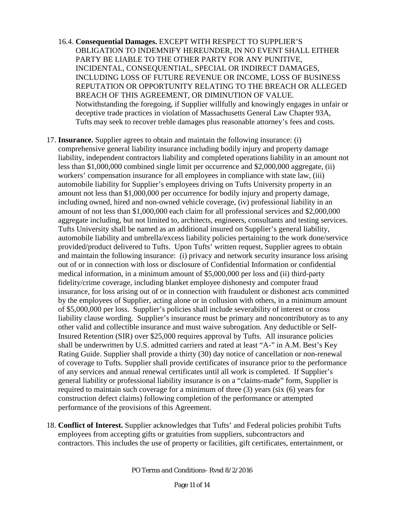- 16.4. **Consequential Damages.** EXCEPT WITH RESPECT TO SUPPLIER'S OBLIGATION TO INDEMNIFY HEREUNDER, IN NO EVENT SHALL EITHER PARTY BE LIABLE TO THE OTHER PARTY FOR ANY PUNITIVE, INCIDENTAL, CONSEQUENTIAL, SPECIAL OR INDIRECT DAMAGES, INCLUDING LOSS OF FUTURE REVENUE OR INCOME, LOSS OF BUSINESS REPUTATION OR OPPORTUNITY RELATING TO THE BREACH OR ALLEGED BREACH OF THIS AGREEMENT, OR DIMINUTION OF VALUE. Notwithstanding the foregoing, if Supplier willfully and knowingly engages in unfair or deceptive trade practices in violation of Massachusetts General Law Chapter 93A, Tufts may seek to recover treble damages plus reasonable attorney's fees and costs.
- 17. **Insurance.** Supplier agrees to obtain and maintain the following insurance: (i) comprehensive general liability insurance including bodily injury and property damage liability, independent contractors liability and completed operations liability in an amount not less than \$1,000,000 combined single limit per occurrence and \$2,000,000 aggregate, (ii) workers' compensation insurance for all employees in compliance with state law, (iii) automobile liability for Supplier's employees driving on Tufts University property in an amount not less than \$1,000,000 per occurrence for bodily injury and property damage, including owned, hired and non-owned vehicle coverage, (iv) professional liability in an amount of not less than \$1,000,000 each claim for all professional services and \$2,000,000 aggregate including, but not limited to, architects, engineers, consultants and testing services. Tufts University shall be named as an additional insured on Supplier's general liability, automobile liability and umbrella/excess liability policies pertaining to the work done/service provided/product delivered to Tufts. Upon Tufts' written request, Supplier agrees to obtain and maintain the following insurance: (i) privacy and network security insurance loss arising out of or in connection with loss or disclosure of Confidential Information or confidential medical information, in a minimum amount of \$5,000,000 per loss and (ii) third-party fidelity/crime coverage, including blanket employee dishonesty and computer fraud insurance, for loss arising out of or in connection with fraudulent or dishonest acts committed by the employees of Supplier, acting alone or in collusion with others, in a minimum amount of \$5,000,000 per loss. Supplier's policies shall include severability of interest or cross liability clause wording. Supplier's insurance must be primary and noncontributory as to any other valid and collectible insurance and must waive subrogation. Any deductible or Self-Insured Retention (SIR) over \$25,000 requires approval by Tufts. All insurance policies shall be underwritten by U.S. admitted carriers and rated at least "A-" in A.M. Best's Key Rating Guide. Supplier shall provide a thirty (30) day notice of cancellation or non-renewal of coverage to Tufts. Supplier shall provide certificates of insurance prior to the performance of any services and annual renewal certificates until all work is completed. If Supplier's general liability or professional liability insurance is on a "claims-made" form, Supplier is required to maintain such coverage for a minimum of three (3) years (six (6) years for construction defect claims) following completion of the performance or attempted performance of the provisions of this Agreement.
- 18. **Conflict of Interest.** Supplier acknowledges that Tufts' and Federal policies prohibit Tufts employees from accepting gifts or gratuities from suppliers, subcontractors and contractors. This includes the use of property or facilities, gift certificates, entertainment, or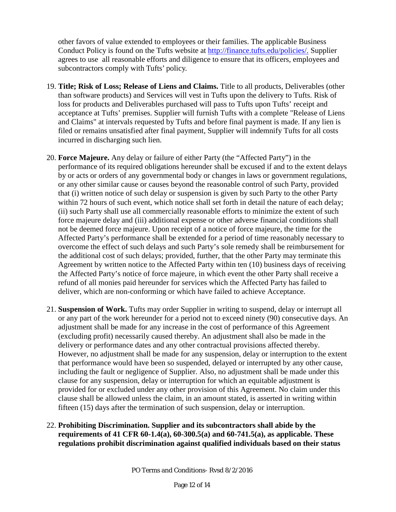other favors of value extended to employees or their families. The applicable Business Conduct Policy is found on the Tufts website at [http://finance.tufts.edu/policies/.](http://finance.tufts.edu/policies/) Supplier agrees to use all reasonable efforts and diligence to ensure that its officers, employees and subcontractors comply with Tufts' policy.

- 19. **Title; Risk of Loss; Release of Liens and Claims.** Title to all products, Deliverables (other than software products) and Services will vest in Tufts upon the delivery to Tufts. Risk of loss for products and Deliverables purchased will pass to Tufts upon Tufts' receipt and acceptance at Tufts' premises. Supplier will furnish Tufts with a complete "Release of Liens and Claims" at intervals requested by Tufts and before final payment is made. If any lien is filed or remains unsatisfied after final payment, Supplier will indemnify Tufts for all costs incurred in discharging such lien.
- 20. **Force Majeure.** Any delay or failure of either Party (the "Affected Party") in the performance of its required obligations hereunder shall be excused if and to the extent delays by or acts or orders of any governmental body or changes in laws or government regulations, or any other similar cause or causes beyond the reasonable control of such Party, provided that (i) written notice of such delay or suspension is given by such Party to the other Party within 72 hours of such event, which notice shall set forth in detail the nature of each delay; (ii) such Party shall use all commercially reasonable efforts to minimize the extent of such force majeure delay and (iii) additional expense or other adverse financial conditions shall not be deemed force majeure. Upon receipt of a notice of force majeure, the time for the Affected Party's performance shall be extended for a period of time reasonably necessary to overcome the effect of such delays and such Party's sole remedy shall be reimbursement for the additional cost of such delays; provided, further, that the other Party may terminate this Agreement by written notice to the Affected Party within ten (10) business days of receiving the Affected Party's notice of force majeure, in which event the other Party shall receive a refund of all monies paid hereunder for services which the Affected Party has failed to deliver, which are non-conforming or which have failed to achieve Acceptance.
- 21. **Suspension of Work.** Tufts may order Supplier in writing to suspend, delay or interrupt all or any part of the work hereunder for a period not to exceed ninety (90) consecutive days. An adjustment shall be made for any increase in the cost of performance of this Agreement (excluding profit) necessarily caused thereby. An adjustment shall also be made in the delivery or performance dates and any other contractual provisions affected thereby. However, no adjustment shall be made for any suspension, delay or interruption to the extent that performance would have been so suspended, delayed or interrupted by any other cause, including the fault or negligence of Supplier. Also, no adjustment shall be made under this clause for any suspension, delay or interruption for which an equitable adjustment is provided for or excluded under any other provision of this Agreement. No claim under this clause shall be allowed unless the claim, in an amount stated, is asserted in writing within fifteen (15) days after the termination of such suspension, delay or interruption.

## 22. **Prohibiting Discrimination. Supplier and its subcontractors shall abide by the requirements of 41 CFR 60-1.4(a), 60-300.5(a) and 60-741.5(a), as applicable. These regulations prohibit discrimination against qualified individuals based on their status**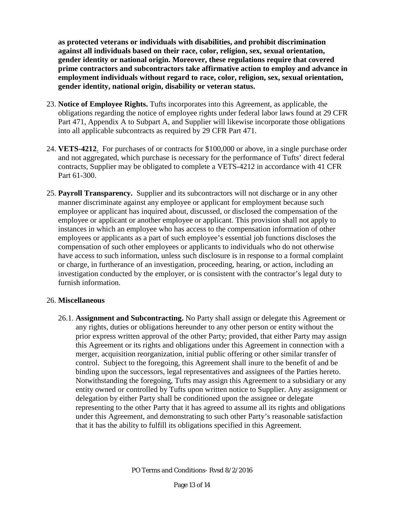**as protected veterans or individuals with disabilities, and prohibit discrimination against all individuals based on their race, color, religion, sex, sexual orientation, gender identity or national origin. Moreover, these regulations require that covered prime contractors and subcontractors take affirmative action to employ and advance in employment individuals without regard to race, color, religion, sex, sexual orientation, gender identity, national origin, disability or veteran status.**

- 23. **Notice of Employee Rights.** Tufts incorporates into this Agreement, as applicable, the obligations regarding the notice of employee rights under federal labor laws found at 29 CFR Part 471, Appendix A to Subpart A, and Supplier will likewise incorporate those obligations into all applicable subcontracts as required by 29 CFR Part 471.
- 24. **VETS-4212**. For purchases of or contracts for \$100,000 or above, in a single purchase order and not aggregated, which purchase is necessary for the performance of Tufts' direct federal contracts, Supplier may be obligated to complete a VETS-4212 in accordance with 41 CFR Part 61-300.
- 25. **Payroll Transparency.** Supplier and its subcontractors will not discharge or in any other manner discriminate against any employee or applicant for employment because such employee or applicant has inquired about, discussed, or disclosed the compensation of the employee or applicant or another employee or applicant. This provision shall not apply to instances in which an employee who has access to the compensation information of other employees or applicants as a part of such employee's essential job functions discloses the compensation of such other employees or applicants to individuals who do not otherwise have access to such information, unless such disclosure is in response to a formal complaint or charge, in furtherance of an investigation, proceeding, hearing, or action, including an investigation conducted by the employer, or is consistent with the contractor's legal duty to furnish information.

#### 26. **Miscellaneous**

26.1. **Assignment and Subcontracting.** No Party shall assign or delegate this Agreement or any rights, duties or obligations hereunder to any other person or entity without the prior express written approval of the other Party; provided, that either Party may assign this Agreement or its rights and obligations under this Agreement in connection with a merger, acquisition reorganization, initial public offering or other similar transfer of control. Subject to the foregoing, this Agreement shall inure to the benefit of and be binding upon the successors, legal representatives and assignees of the Parties hereto. Notwithstanding the foregoing, Tufts may assign this Agreement to a subsidiary or any entity owned or controlled by Tufts upon written notice to Supplier. Any assignment or delegation by either Party shall be conditioned upon the assignee or delegate representing to the other Party that it has agreed to assume all its rights and obligations under this Agreement, and demonstrating to such other Party's reasonable satisfaction that it has the ability to fulfill its obligations specified in this Agreement.